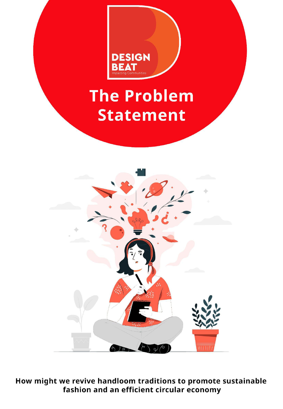

# The Problem **Statement**



How might we revive handloom traditions to promote sustainable fashion and an efficient circular economy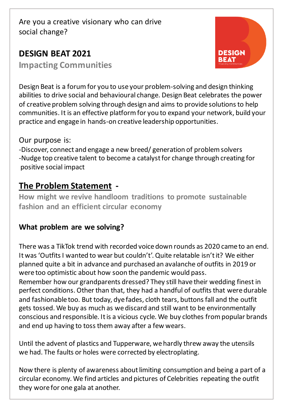# **DESIGN BEAT 2021**

**Impacting Communities**



Design Beat is a forum for you to use your problem-solving and design thinking abilities to drive social and behavioural change. Design Beat celebrates the power of creative problem solving through design and aims to provide solutions to help communities. It is an effective platform for you to expand your network, build your practice and engage in hands-on creative leadership opportunities.

Our purpose is:

-Discover, connect and engage a new breed/ generation of problem solvers -Nudge top creative talent to become a catalyst for change through creating for positive social impact

# **The Problem Statement -**

**How might we revive handloom traditions to promote sustainable fashion and an efficient circular economy** 

## **What problem are we solving?**

There was a TikTok trend with recorded voice down rounds as 2020 came to an end. It was 'Outfits I wanted to wear but couldn't'. Quite relatable isn't it? We either planned quite a bit in advance and purchased an avalanche of outfits in 2019 or were too optimistic about how soon the pandemic would pass.

Remember how our grandparents dressed? They still have their wedding finest in perfect conditions. Other than that, they had a handful of outfits that were durable and fashionable too. But today, dye fades, cloth tears, buttons fall and the outfit gets tossed. We buy as much as we discard and still want to be environmentally conscious and responsible. It is a vicious cycle. We buy clothes from popular brands and end up having to toss them away after a few wears.

Until the advent of plastics and Tupperware, we hardly threw away the utensils we had. The faults or holes were corrected by electroplating.

Now there is plenty of awareness about limiting consumption and being a part of a circular economy. We find articles and pictures of Celebrities repeating the outfit they wore for one gala at another.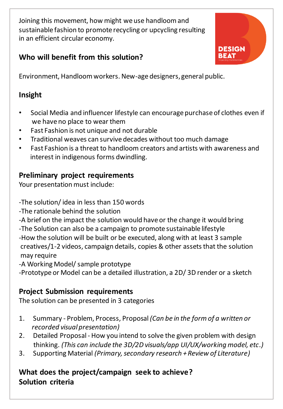Joining this movement, how might we use handloom and sustainable fashion to promote recycling or upcycling resulting in an efficient circular economy.

## **Who will benefit from this solution?**

**DESIGN** BEAT

Environment, Handloom workers. New-age designers, general public.

## **Insight**

- Social Media and influencer lifestyle can encourage purchase of clothes even if we have no place to wear them
- Fast Fashion is not unique and not durable
- Traditional weaves can survive decades without too much damage
- Fast Fashion is a threat to handloom creators and artists with awareness and interest in indigenous forms dwindling.

## **Preliminary project requirements**

Your presentation must include:

-The solution/ idea in less than 150 words

- -The rationale behind the solution
- -A brief on the impact the solution would have or the change it would bring -The Solution can also be a campaign to promote sustainable lifestyle -How the solution will be built or be executed, along with at least 3 sample

 creatives/1-2 videos, campaign details, copies & other assets that the solution may require

-A Working Model/ sample prototype

-Prototype or Model can be a detailed illustration, a 2D/ 3D render or a sketch

## **Project Submission requirements**

The solution can be presented in 3 categories

- 1. Summary Problem, Process, Proposal *(Can be in the form of a written or recorded visual presentation)*
- 2. Detailed Proposal How you intend to solve the given problem with design thinking. *(This can include the 3D/2D visuals/app UI/UX/working model, etc.)*
- 3. Supporting Material *(Primary, secondary research + Review of Literature)*

## **What does the project/campaign seek to achieve? Solution criteria**